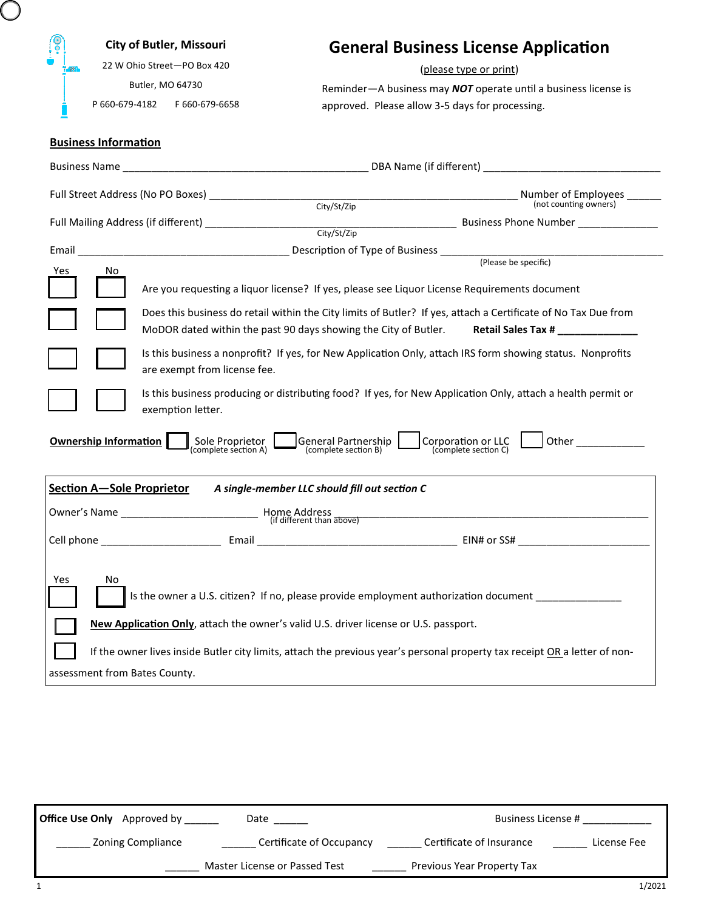| <b>City of Butler, Missouri</b>                                                                                                                                                                                                                                                                                                                                                                           | <b>General Business License Application</b>                                                                                                                                                                          |  |  |  |
|-----------------------------------------------------------------------------------------------------------------------------------------------------------------------------------------------------------------------------------------------------------------------------------------------------------------------------------------------------------------------------------------------------------|----------------------------------------------------------------------------------------------------------------------------------------------------------------------------------------------------------------------|--|--|--|
| 22 W Ohio Street-PO Box 420                                                                                                                                                                                                                                                                                                                                                                               | (please type or print)                                                                                                                                                                                               |  |  |  |
| Butler, MO 64730                                                                                                                                                                                                                                                                                                                                                                                          | Reminder-A business may <b>NOT</b> operate until a business license is                                                                                                                                               |  |  |  |
| P 660-679-4182 F 660-679-6658                                                                                                                                                                                                                                                                                                                                                                             | approved. Please allow 3-5 days for processing.                                                                                                                                                                      |  |  |  |
|                                                                                                                                                                                                                                                                                                                                                                                                           |                                                                                                                                                                                                                      |  |  |  |
| <b>Business Information</b>                                                                                                                                                                                                                                                                                                                                                                               |                                                                                                                                                                                                                      |  |  |  |
|                                                                                                                                                                                                                                                                                                                                                                                                           |                                                                                                                                                                                                                      |  |  |  |
|                                                                                                                                                                                                                                                                                                                                                                                                           |                                                                                                                                                                                                                      |  |  |  |
|                                                                                                                                                                                                                                                                                                                                                                                                           |                                                                                                                                                                                                                      |  |  |  |
|                                                                                                                                                                                                                                                                                                                                                                                                           | City/St/Zip Business Phone Number _______________                                                                                                                                                                    |  |  |  |
| Email                                                                                                                                                                                                                                                                                                                                                                                                     |                                                                                                                                                                                                                      |  |  |  |
| Yes<br>No.                                                                                                                                                                                                                                                                                                                                                                                                |                                                                                                                                                                                                                      |  |  |  |
|                                                                                                                                                                                                                                                                                                                                                                                                           | Are you requesting a liquor license? If yes, please see Liquor License Requirements document                                                                                                                         |  |  |  |
|                                                                                                                                                                                                                                                                                                                                                                                                           | Does this business do retail within the City limits of Butler? If yes, attach a Certificate of No Tax Due from<br>MoDOR dated within the past 90 days showing the City of Butler. Retail Sales Tax # _______________ |  |  |  |
| are exempt from license fee.                                                                                                                                                                                                                                                                                                                                                                              | Is this business a nonprofit? If yes, for New Application Only, attach IRS form showing status. Nonprofits                                                                                                           |  |  |  |
| exemption letter.                                                                                                                                                                                                                                                                                                                                                                                         | Is this business producing or distributing food? If yes, for New Application Only, attach a health permit or                                                                                                         |  |  |  |
| General Partnership  <br>(complete section B)<br>Sole Proprietor<br>(complete section A)<br>Corporation or LLC<br>(complete section C)<br>Other and the state of the state of the state of the state of the state of the state of the state of the state of the state of the state of the state of the state of the state of the state of the state of the state of the s<br><b>Ownership Information</b> |                                                                                                                                                                                                                      |  |  |  |
| <b>Section A-Sole Proprietor</b>                                                                                                                                                                                                                                                                                                                                                                          | A single-member LLC should fill out section C                                                                                                                                                                        |  |  |  |
| Home Address<br>———————————————————— (if different than above)<br>Owner's Name                                                                                                                                                                                                                                                                                                                            |                                                                                                                                                                                                                      |  |  |  |
| Cell phone and the control of the control of the control of the control of the control of the control of the control of the control of the control of the control of the control of the control of the control of the control                                                                                                                                                                             |                                                                                                                                                                                                                      |  |  |  |
|                                                                                                                                                                                                                                                                                                                                                                                                           |                                                                                                                                                                                                                      |  |  |  |
| Yes<br>No                                                                                                                                                                                                                                                                                                                                                                                                 | Is the owner a U.S. citizen? If no, please provide employment authorization document                                                                                                                                 |  |  |  |
| New Application Only, attach the owner's valid U.S. driver license or U.S. passport.                                                                                                                                                                                                                                                                                                                      |                                                                                                                                                                                                                      |  |  |  |
| If the owner lives inside Butler city limits, attach the previous year's personal property tax receipt OR a letter of non-                                                                                                                                                                                                                                                                                |                                                                                                                                                                                                                      |  |  |  |
| assessment from Bates County.                                                                                                                                                                                                                                                                                                                                                                             |                                                                                                                                                                                                                      |  |  |  |

 $\bigcirc$ 

| <b>Office Use Only</b> Approved by | Date                          | Business License #         |             |
|------------------------------------|-------------------------------|----------------------------|-------------|
| <b>Zoning Compliance</b>           | Certificate of Occupancy      | Certificate of Insurance   | License Fee |
|                                    | Master License or Passed Test | Previous Year Property Tax |             |
|                                    |                               |                            | 1/2021      |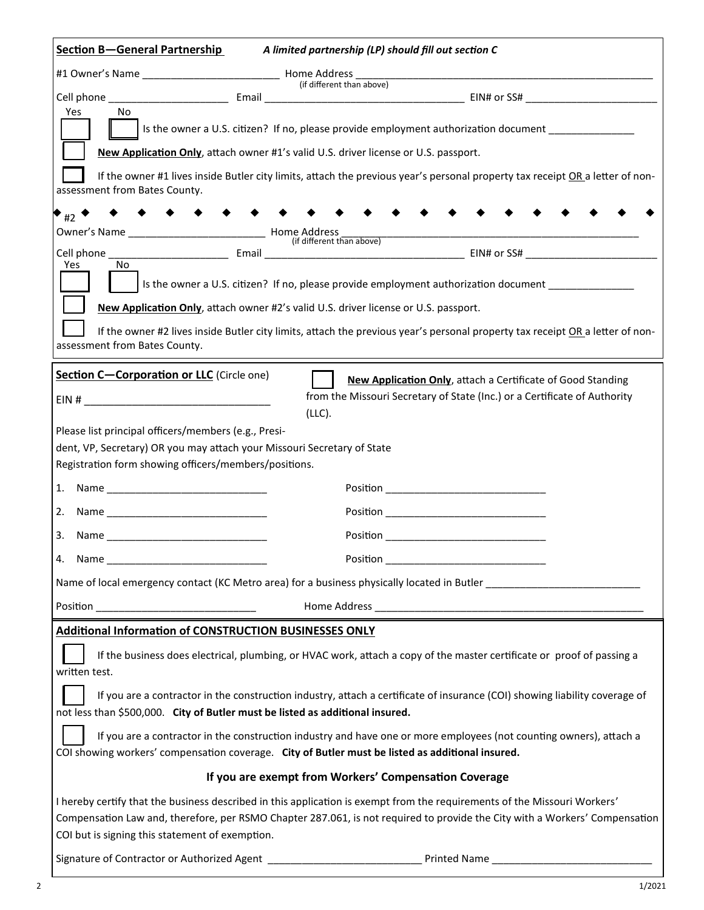| <b>Section B-General Partnership</b>                                                                                            | A limited partnership (LP) should fill out section C                                                                                                                                                                                                     |
|---------------------------------------------------------------------------------------------------------------------------------|----------------------------------------------------------------------------------------------------------------------------------------------------------------------------------------------------------------------------------------------------------|
| #1 Owner's Name __________________________________ Home Address ______                                                          |                                                                                                                                                                                                                                                          |
|                                                                                                                                 | (if different than above)                                                                                                                                                                                                                                |
| No<br>Yes                                                                                                                       | Is the owner a U.S. citizen? If no, please provide employment authorization document ______________                                                                                                                                                      |
|                                                                                                                                 | New Application Only, attach owner #1's valid U.S. driver license or U.S. passport.                                                                                                                                                                      |
|                                                                                                                                 | If the owner #1 lives inside Butler city limits, attach the previous year's personal property tax receipt OR a letter of non-                                                                                                                            |
| assessment from Bates County.                                                                                                   |                                                                                                                                                                                                                                                          |
| $\bullet$ #2 $\bullet$                                                                                                          |                                                                                                                                                                                                                                                          |
|                                                                                                                                 |                                                                                                                                                                                                                                                          |
| No<br>Yes                                                                                                                       |                                                                                                                                                                                                                                                          |
|                                                                                                                                 | Is the owner a U.S. citizen? If no, please provide employment authorization document ______________                                                                                                                                                      |
|                                                                                                                                 | New Application Only, attach owner #2's valid U.S. driver license or U.S. passport.                                                                                                                                                                      |
|                                                                                                                                 | If the owner #2 lives inside Butler city limits, attach the previous year's personal property tax receipt OR a letter of non-                                                                                                                            |
| assessment from Bates County.                                                                                                   |                                                                                                                                                                                                                                                          |
| Section C-Corporation or LLC (Circle one)                                                                                       | New Application Only, attach a Certificate of Good Standing                                                                                                                                                                                              |
|                                                                                                                                 | from the Missouri Secretary of State (Inc.) or a Certificate of Authority                                                                                                                                                                                |
|                                                                                                                                 | $(LLC)$ .                                                                                                                                                                                                                                                |
| Please list principal officers/members (e.g., Presi-<br>dent, VP, Secretary) OR you may attach your Missouri Secretary of State |                                                                                                                                                                                                                                                          |
| Registration form showing officers/members/positions.                                                                           |                                                                                                                                                                                                                                                          |
| 1.                                                                                                                              |                                                                                                                                                                                                                                                          |
| 2.                                                                                                                              |                                                                                                                                                                                                                                                          |
| 3.                                                                                                                              |                                                                                                                                                                                                                                                          |
|                                                                                                                                 |                                                                                                                                                                                                                                                          |
|                                                                                                                                 | Name of local emergency contact (KC Metro area) for a business physically located in Butler ________________________                                                                                                                                     |
|                                                                                                                                 |                                                                                                                                                                                                                                                          |
| Additional Information of CONSTRUCTION BUSINESSES ONLY                                                                          |                                                                                                                                                                                                                                                          |
| written test.                                                                                                                   | If the business does electrical, plumbing, or HVAC work, attach a copy of the master certificate or proof of passing a                                                                                                                                   |
| not less than \$500,000. City of Butler must be listed as additional insured.                                                   | If you are a contractor in the construction industry, attach a certificate of insurance (COI) showing liability coverage of                                                                                                                              |
|                                                                                                                                 | If you are a contractor in the construction industry and have one or more employees (not counting owners), attach a<br>COI showing workers' compensation coverage. City of Butler must be listed as additional insured.                                  |
|                                                                                                                                 | If you are exempt from Workers' Compensation Coverage                                                                                                                                                                                                    |
|                                                                                                                                 | I hereby certify that the business described in this application is exempt from the requirements of the Missouri Workers'<br>Compensation Law and, therefore, per RSMO Chapter 287.061, is not required to provide the City with a Workers' Compensation |
| COI but is signing this statement of exemption.                                                                                 |                                                                                                                                                                                                                                                          |
|                                                                                                                                 |                                                                                                                                                                                                                                                          |